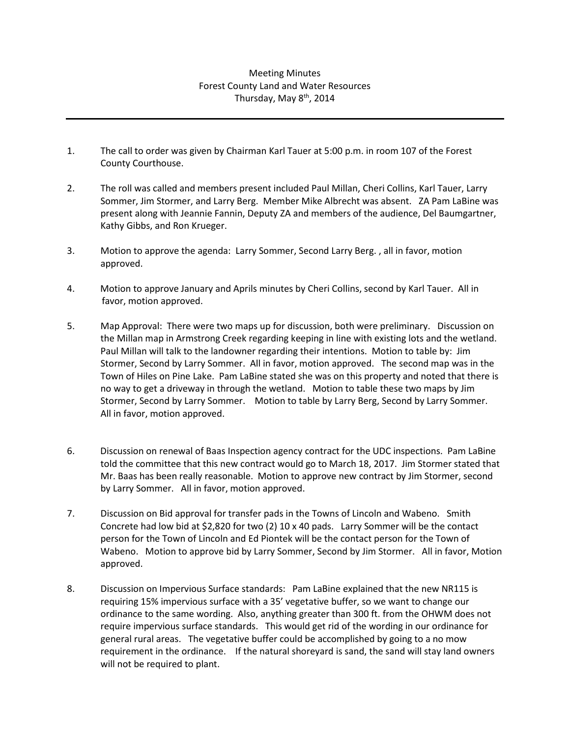## Meeting Minutes Forest County Land and Water Resources Thursday, May 8<sup>th</sup>, 2014

- 1. The call to order was given by Chairman Karl Tauer at 5:00 p.m. in room 107 of the Forest County Courthouse.
- 2. The roll was called and members present included Paul Millan, Cheri Collins, Karl Tauer, Larry Sommer, Jim Stormer, and Larry Berg. Member Mike Albrecht was absent. ZA Pam LaBine was present along with Jeannie Fannin, Deputy ZA and members of the audience, Del Baumgartner, Kathy Gibbs, and Ron Krueger.
- 3. Motion to approve the agenda: Larry Sommer, Second Larry Berg. , all in favor, motion approved.
- 4. Motion to approve January and Aprils minutes by Cheri Collins, second by Karl Tauer. All in favor, motion approved.
- 5. Map Approval: There were two maps up for discussion, both were preliminary. Discussion on the Millan map in Armstrong Creek regarding keeping in line with existing lots and the wetland. Paul Millan will talk to the landowner regarding their intentions. Motion to table by: Jim Stormer, Second by Larry Sommer. All in favor, motion approved. The second map was in the Town of Hiles on Pine Lake. Pam LaBine stated she was on this property and noted that there is no way to get a driveway in through the wetland. Motion to table these two maps by Jim Stormer, Second by Larry Sommer. Motion to table by Larry Berg, Second by Larry Sommer. All in favor, motion approved.
- 6. Discussion on renewal of Baas Inspection agency contract for the UDC inspections. Pam LaBine told the committee that this new contract would go to March 18, 2017. Jim Stormer stated that Mr. Baas has been really reasonable. Motion to approve new contract by Jim Stormer, second by Larry Sommer. All in favor, motion approved.
- 7. Discussion on Bid approval for transfer pads in the Towns of Lincoln and Wabeno. Smith Concrete had low bid at \$2,820 for two (2) 10 x 40 pads. Larry Sommer will be the contact person for the Town of Lincoln and Ed Piontek will be the contact person for the Town of Wabeno. Motion to approve bid by Larry Sommer, Second by Jim Stormer. All in favor, Motion approved.
- 8. Discussion on Impervious Surface standards: Pam LaBine explained that the new NR115 is requiring 15% impervious surface with a 35' vegetative buffer, so we want to change our ordinance to the same wording. Also, anything greater than 300 ft. from the OHWM does not require impervious surface standards. This would get rid of the wording in our ordinance for general rural areas. The vegetative buffer could be accomplished by going to a no mow requirement in the ordinance. If the natural shoreyard is sand, the sand will stay land owners will not be required to plant.